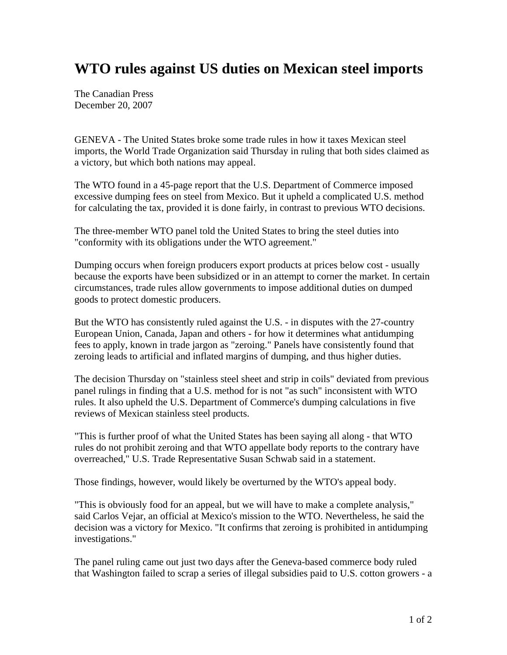## **WTO rules against US duties on Mexican steel imports**

The Canadian Press December 20, 2007

GENEVA - The United States broke some trade rules in how it taxes Mexican steel imports, the World Trade Organization said Thursday in ruling that both sides claimed as a victory, but which both nations may appeal.

The WTO found in a 45-page report that the U.S. Department of Commerce imposed excessive dumping fees on steel from Mexico. But it upheld a complicated U.S. method for calculating the tax, provided it is done fairly, in contrast to previous WTO decisions.

The three-member WTO panel told the United States to bring the steel duties into "conformity with its obligations under the WTO agreement."

Dumping occurs when foreign producers export products at prices below cost - usually because the exports have been subsidized or in an attempt to corner the market. In certain circumstances, trade rules allow governments to impose additional duties on dumped goods to protect domestic producers.

But the WTO has consistently ruled against the U.S. - in disputes with the 27-country European Union, Canada, Japan and others - for how it determines what antidumping fees to apply, known in trade jargon as "zeroing." Panels have consistently found that zeroing leads to artificial and inflated margins of dumping, and thus higher duties.

The decision Thursday on "stainless steel sheet and strip in coils" deviated from previous panel rulings in finding that a U.S. method for is not "as such" inconsistent with WTO rules. It also upheld the U.S. Department of Commerce's dumping calculations in five reviews of Mexican stainless steel products.

"This is further proof of what the United States has been saying all along - that WTO rules do not prohibit zeroing and that WTO appellate body reports to the contrary have overreached," U.S. Trade Representative Susan Schwab said in a statement.

Those findings, however, would likely be overturned by the WTO's appeal body.

"This is obviously food for an appeal, but we will have to make a complete analysis," said Carlos Vejar, an official at Mexico's mission to the WTO. Nevertheless, he said the decision was a victory for Mexico. "It confirms that zeroing is prohibited in antidumping investigations."

The panel ruling came out just two days after the Geneva-based commerce body ruled that Washington failed to scrap a series of illegal subsidies paid to U.S. cotton growers - a